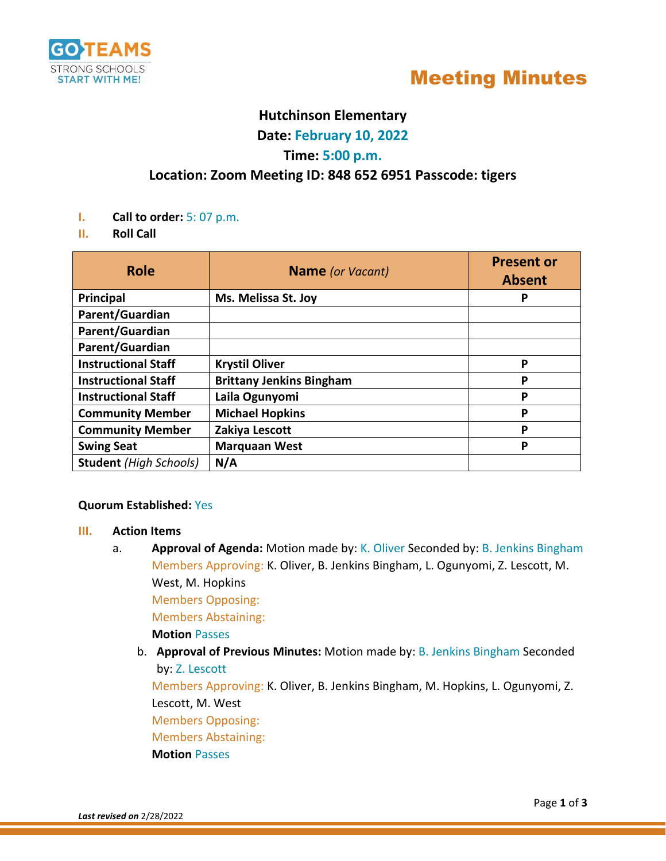

# Meeting Minutes

# **Hutchinson Elementary**

**Date: February 10, 2022**

# **Time: 5:00 p.m.**

# **Location: Zoom Meeting ID: 848 652 6951 Passcode: tigers**

- **I. Call to order:** 5: 07 p.m.
- **II. Roll Call**

| <b>Role</b>                   | <b>Name</b> (or Vacant)         | <b>Present or</b><br><b>Absent</b> |
|-------------------------------|---------------------------------|------------------------------------|
| <b>Principal</b>              | Ms. Melissa St. Joy             | P                                  |
| Parent/Guardian               |                                 |                                    |
| Parent/Guardian               |                                 |                                    |
| Parent/Guardian               |                                 |                                    |
| <b>Instructional Staff</b>    | <b>Krystil Oliver</b>           | P                                  |
| <b>Instructional Staff</b>    | <b>Brittany Jenkins Bingham</b> | P                                  |
| <b>Instructional Staff</b>    | Laila Ogunyomi                  | P                                  |
| <b>Community Member</b>       | <b>Michael Hopkins</b>          | P                                  |
| <b>Community Member</b>       | Zakiya Lescott                  | P                                  |
| <b>Swing Seat</b>             | <b>Marquaan West</b>            | P                                  |
| <b>Student</b> (High Schools) | N/A                             |                                    |

### **Quorum Established:** Yes

#### **III. Action Items**

a. **Approval of Agenda:** Motion made by: K. Oliver Seconded by: B. Jenkins Bingham Members Approving: K. Oliver, B. Jenkins Bingham, L. Ogunyomi, Z. Lescott, M. West, M. Hopkins

Members Opposing:

Members Abstaining:

**Motion** Passes

b. **Approval of Previous Minutes:** Motion made by: B. Jenkins Bingham Seconded by: Z. Lescott

Members Approving: K. Oliver, B. Jenkins Bingham, M. Hopkins, L. Ogunyomi, Z. Lescott, M. West

Members Opposing:

Members Abstaining:

## **Motion** Passes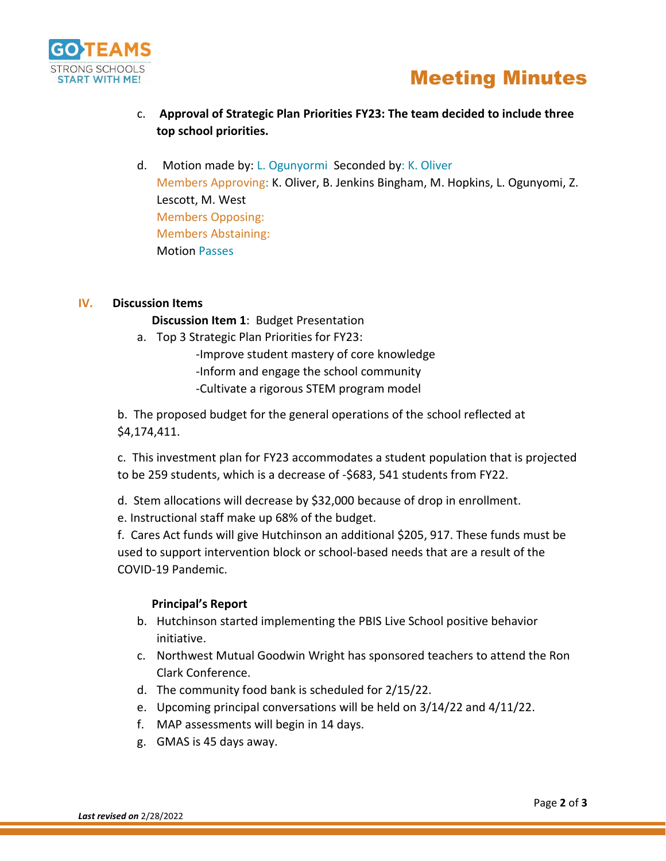

- c. **Approval of Strategic Plan Priorities FY23: The team decided to include three top school priorities.**
- d.Motion made by: L. Ogunyormi Seconded by: K. Oliver Members Approving: K. Oliver, B. Jenkins Bingham, M. Hopkins, L. Ogunyomi, Z. Lescott, M. West Members Opposing: Members Abstaining: Motion Passes

# **IV. Discussion Items**

**Discussion Item 1**: Budget Presentation

- a. Top 3 Strategic Plan Priorities for FY23:
	- -Improve student mastery of core knowledge
	- -Inform and engage the school community
	- -Cultivate a rigorous STEM program model

b. The proposed budget for the general operations of the school reflected at \$4,174,411.

c. This investment plan for FY23 accommodates a student population that is projected to be 259 students, which is a decrease of -\$683, 541 students from FY22.

- d. Stem allocations will decrease by \$32,000 because of drop in enrollment.
- e. Instructional staff make up 68% of the budget.

f. Cares Act funds will give Hutchinson an additional \$205, 917. These funds must be used to support intervention block or school-based needs that are a result of the COVID-19 Pandemic.

### **Principal's Report**

- b. Hutchinson started implementing the PBIS Live School positive behavior initiative.
- c. Northwest Mutual Goodwin Wright has sponsored teachers to attend the Ron Clark Conference.
- d. The community food bank is scheduled for 2/15/22.
- e. Upcoming principal conversations will be held on 3/14/22 and 4/11/22.
- f. MAP assessments will begin in 14 days.
- g. GMAS is 45 days away.